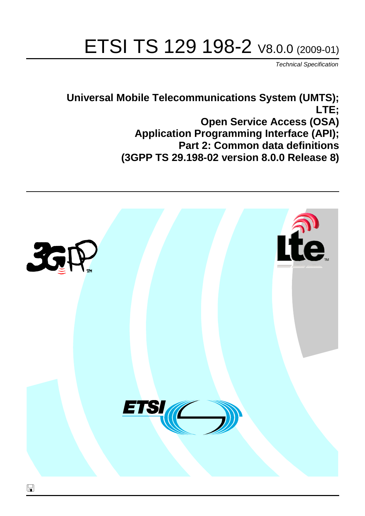# ETSI TS 129 198-2 V8.0.0 (2009-01)

*Technical Specification*

**Universal Mobile Telecommunications System (UMTS); LTE; Open Service Access (OSA) Application Programming Interface (API); Part 2: Common data definitions (3GPP TS 29.198-02 version 8.0.0 Release 8)**

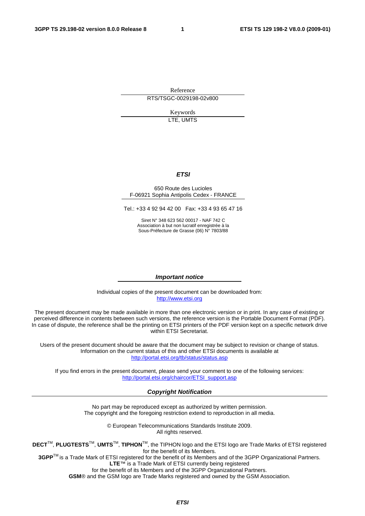Reference RTS/TSGC-0029198-02v800

> Keywords LTE, UMTS

#### *ETSI*

#### 650 Route des Lucioles F-06921 Sophia Antipolis Cedex - FRANCE

Tel.: +33 4 92 94 42 00 Fax: +33 4 93 65 47 16

Siret N° 348 623 562 00017 - NAF 742 C Association à but non lucratif enregistrée à la Sous-Préfecture de Grasse (06) N° 7803/88

#### *Important notice*

Individual copies of the present document can be downloaded from: [http://www.etsi.org](http://www.etsi.org/)

The present document may be made available in more than one electronic version or in print. In any case of existing or perceived difference in contents between such versions, the reference version is the Portable Document Format (PDF). In case of dispute, the reference shall be the printing on ETSI printers of the PDF version kept on a specific network drive within ETSI Secretariat.

Users of the present document should be aware that the document may be subject to revision or change of status. Information on the current status of this and other ETSI documents is available at <http://portal.etsi.org/tb/status/status.asp>

If you find errors in the present document, please send your comment to one of the following services: [http://portal.etsi.org/chaircor/ETSI\\_support.asp](http://portal.etsi.org/chaircor/ETSI_support.asp)

#### *Copyright Notification*

No part may be reproduced except as authorized by written permission. The copyright and the foregoing restriction extend to reproduction in all media.

> © European Telecommunications Standards Institute 2009. All rights reserved.

**DECT**TM, **PLUGTESTS**TM, **UMTS**TM, **TIPHON**TM, the TIPHON logo and the ETSI logo are Trade Marks of ETSI registered for the benefit of its Members.

**3GPP**TM is a Trade Mark of ETSI registered for the benefit of its Members and of the 3GPP Organizational Partners. **LTE**™ is a Trade Mark of ETSI currently being registered

for the benefit of its Members and of the 3GPP Organizational Partners.

**GSM**® and the GSM logo are Trade Marks registered and owned by the GSM Association.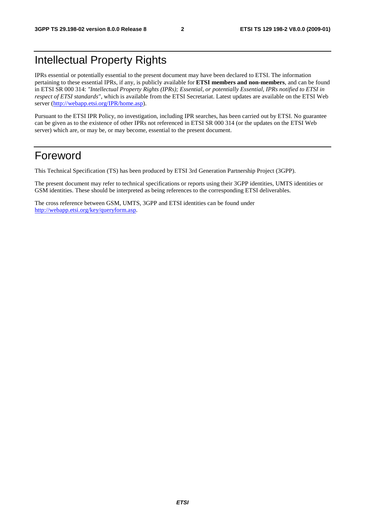# Intellectual Property Rights

IPRs essential or potentially essential to the present document may have been declared to ETSI. The information pertaining to these essential IPRs, if any, is publicly available for **ETSI members and non-members**, and can be found in ETSI SR 000 314: *"Intellectual Property Rights (IPRs); Essential, or potentially Essential, IPRs notified to ETSI in respect of ETSI standards"*, which is available from the ETSI Secretariat. Latest updates are available on the ETSI Web server ([http://webapp.etsi.org/IPR/home.asp\)](http://webapp.etsi.org/IPR/home.asp).

Pursuant to the ETSI IPR Policy, no investigation, including IPR searches, has been carried out by ETSI. No guarantee can be given as to the existence of other IPRs not referenced in ETSI SR 000 314 (or the updates on the ETSI Web server) which are, or may be, or may become, essential to the present document.

# Foreword

This Technical Specification (TS) has been produced by ETSI 3rd Generation Partnership Project (3GPP).

The present document may refer to technical specifications or reports using their 3GPP identities, UMTS identities or GSM identities. These should be interpreted as being references to the corresponding ETSI deliverables.

The cross reference between GSM, UMTS, 3GPP and ETSI identities can be found under [http://webapp.etsi.org/key/queryform.asp.](http://webapp.etsi.org/key/queryform.asp)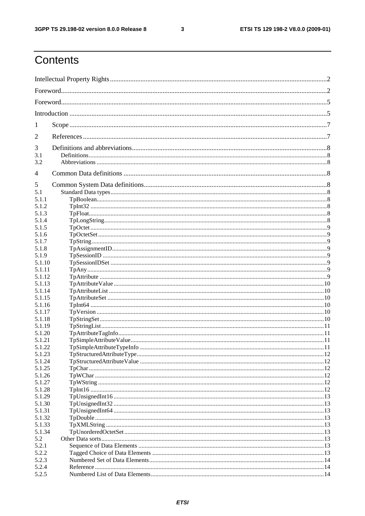$\mathbf{3}$ 

# Contents

| 1               |  |  |  |  |
|-----------------|--|--|--|--|
| 2               |  |  |  |  |
| 3               |  |  |  |  |
| 3.1<br>3.2      |  |  |  |  |
| 4               |  |  |  |  |
| 5               |  |  |  |  |
| 5.1             |  |  |  |  |
| 5.1.1           |  |  |  |  |
| 5.1.2           |  |  |  |  |
| 5.1.3           |  |  |  |  |
| 5.1.4           |  |  |  |  |
| 5.1.5           |  |  |  |  |
| 5.1.6           |  |  |  |  |
| 5.1.7           |  |  |  |  |
| 5.1.8           |  |  |  |  |
| 5.1.9<br>5.1.10 |  |  |  |  |
| 5.1.11          |  |  |  |  |
| 5.1.12          |  |  |  |  |
| 5.1.13          |  |  |  |  |
| 5.1.14          |  |  |  |  |
| 5.1.15          |  |  |  |  |
| 5.1.16          |  |  |  |  |
| 5.1.17          |  |  |  |  |
| 5.1.18          |  |  |  |  |
| 5.1.19          |  |  |  |  |
| 5.1.20          |  |  |  |  |
| 5.1.21          |  |  |  |  |
| 5.1.22          |  |  |  |  |
| 5.1.23          |  |  |  |  |
| 5.1.24          |  |  |  |  |
| 5.1.25          |  |  |  |  |
| 5.1.26          |  |  |  |  |
| 5.1.27          |  |  |  |  |
| 5.1.28          |  |  |  |  |
| 5.1.29          |  |  |  |  |
| 5.1.30          |  |  |  |  |
| 5.1.31          |  |  |  |  |
| 5.1.32          |  |  |  |  |
| 5.1.33          |  |  |  |  |
| 5.1.34          |  |  |  |  |
| 5.2<br>5.2.1    |  |  |  |  |
| 5.2.2           |  |  |  |  |
| 5.2.3           |  |  |  |  |
| 5.2.4           |  |  |  |  |
| 5.2.5           |  |  |  |  |
|                 |  |  |  |  |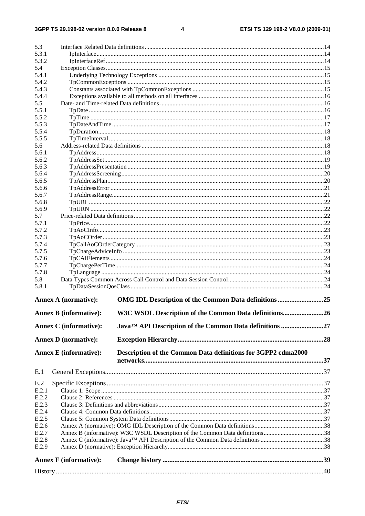$\overline{\mathbf{4}}$ 

| 5.3            |                               |                                                                              |  |
|----------------|-------------------------------|------------------------------------------------------------------------------|--|
| 5.3.1          |                               |                                                                              |  |
| 5.3.2          |                               |                                                                              |  |
| 5.4            |                               |                                                                              |  |
| 5.4.1          |                               |                                                                              |  |
| 5.4.2          |                               |                                                                              |  |
| 5.4.3          |                               |                                                                              |  |
| 5.4.4          |                               |                                                                              |  |
| 5.5            |                               |                                                                              |  |
| 5.5.1          |                               |                                                                              |  |
| 5.5.2          |                               |                                                                              |  |
| 5.5.3          |                               |                                                                              |  |
| 5.5.4          |                               |                                                                              |  |
| 5.5.5          |                               |                                                                              |  |
| 5.6            |                               |                                                                              |  |
| 5.6.1          |                               |                                                                              |  |
| 5.6.2          |                               |                                                                              |  |
| 5.6.3          |                               |                                                                              |  |
| 5.6.4          |                               |                                                                              |  |
| 5.6.5          |                               |                                                                              |  |
| 5.6.6          |                               |                                                                              |  |
| 5.6.7          |                               |                                                                              |  |
| 5.6.8          |                               |                                                                              |  |
| 5.6.9          |                               |                                                                              |  |
| 5.7            |                               |                                                                              |  |
| 5.7.1          |                               |                                                                              |  |
| 5.7.2          |                               |                                                                              |  |
| 5.7.3          |                               |                                                                              |  |
| 5.7.4          |                               |                                                                              |  |
| 5.7.5          |                               |                                                                              |  |
| 5.7.6          |                               |                                                                              |  |
| 5.7.7          |                               |                                                                              |  |
| 5.7.8          |                               |                                                                              |  |
| 5.8            |                               |                                                                              |  |
| 5.8.1          |                               |                                                                              |  |
|                | <b>Annex A (normative):</b>   | OMG IDL Description of the Common Data definitions 25                        |  |
|                | <b>Annex B</b> (informative): | W3C WSDL Description of the Common Data definitions26                        |  |
|                | <b>Annex C</b> (informative): | Java <sup>TM</sup> API Description of the Common Data definitions 27         |  |
|                | <b>Annex D</b> (normative):   |                                                                              |  |
|                |                               |                                                                              |  |
|                | <b>Annex E</b> (informative): | Description of the Common Data definitions for 3GPP2 cdma2000                |  |
| E.1            |                               |                                                                              |  |
|                |                               |                                                                              |  |
| E.2            |                               |                                                                              |  |
| E.2.1          |                               |                                                                              |  |
| E.2.2          |                               |                                                                              |  |
| E.2.3<br>E.2.4 |                               |                                                                              |  |
| E.2.5          |                               |                                                                              |  |
| E.2.6          |                               |                                                                              |  |
| E.2.7          |                               | Annex B (informative): W3C WSDL Description of the Common Data definitions38 |  |
| E.2.8          |                               |                                                                              |  |
| E.2.9          |                               |                                                                              |  |
|                |                               |                                                                              |  |
|                | <b>Annex F</b> (informative): |                                                                              |  |
|                |                               |                                                                              |  |
|                |                               |                                                                              |  |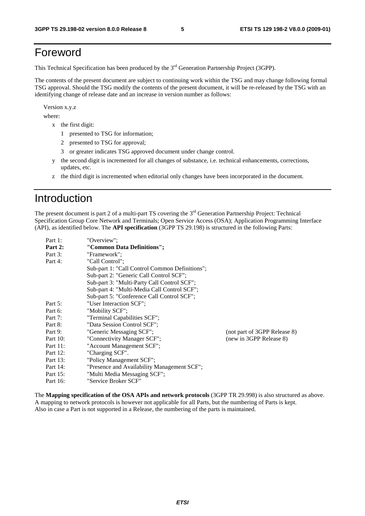# Foreword

This Technical Specification has been produced by the 3<sup>rd</sup> Generation Partnership Project (3GPP).

The contents of the present document are subject to continuing work within the TSG and may change following formal TSG approval. Should the TSG modify the contents of the present document, it will be re-released by the TSG with an identifying change of release date and an increase in version number as follows:

Version x.y.z

where:

- x the first digit:
	- 1 presented to TSG for information;
	- 2 presented to TSG for approval;
	- 3 or greater indicates TSG approved document under change control.
- y the second digit is incremented for all changes of substance, i.e. technical enhancements, corrections, updates, etc.
- z the third digit is incremented when editorial only changes have been incorporated in the document.

# Introduction

The present document is part 2 of a multi-part TS covering the 3<sup>rd</sup> Generation Partnership Project: Technical Specification Group Core Network and Terminals; Open Service Access (OSA); Application Programming Interface (API), as identified below. The **API specification** (3GPP TS 29.198) is structured in the following Parts:

| Part 1:     | "Overview":                                    |                              |
|-------------|------------------------------------------------|------------------------------|
| Part 2:     | "Common Data Definitions";                     |                              |
| Part 3:     | "Framework":                                   |                              |
| Part 4:     | "Call Control";                                |                              |
|             | Sub-part 1: "Call Control Common Definitions"; |                              |
|             | Sub-part 2: "Generic Call Control SCF";        |                              |
|             | Sub-part 3: "Multi-Party Call Control SCF";    |                              |
|             | Sub-part 4: "Multi-Media Call Control SCF";    |                              |
|             | Sub-part 5: "Conference Call Control SCF";     |                              |
| Part 5:     | "User Interaction SCF":                        |                              |
| Part 6:     | "Mobility SCF";                                |                              |
| Part 7:     | "Terminal Capabilities SCF";                   |                              |
| Part 8:     | "Data Session Control SCF";                    |                              |
| Part 9:     | "Generic Messaging SCF";                       | (not part of 3GPP Release 8) |
| Part $10$ : | "Connectivity Manager SCF";                    | (new in 3GPP Release 8)      |
| Part 11:    | "Account Management SCF";                      |                              |
| Part 12:    | "Charging SCF".                                |                              |
| Part 13:    | "Policy Management SCF";                       |                              |
| Part 14:    | "Presence and Availability Management SCF";    |                              |
| Part 15:    | "Multi Media Messaging SCF";                   |                              |
| Part 16:    | "Service Broker SCF"                           |                              |

The **Mapping specification of the OSA APIs and network protocols** (3GPP TR 29.998) is also structured as above. A mapping to network protocols is however not applicable for all Parts, but the numbering of Parts is kept. Also in case a Part is not supported in a Release, the numbering of the parts is maintained.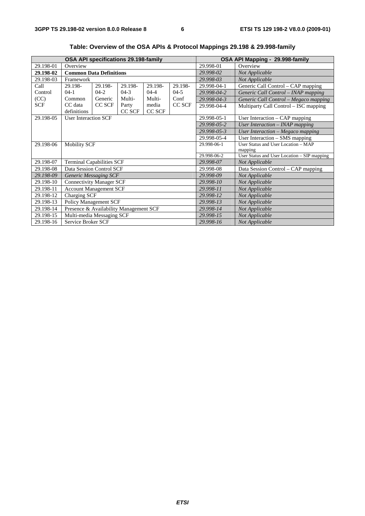| OSA API specifications 29.198-family |                                        |         |         |           | OSA API Mapping - 29.998-family |                                             |                                       |
|--------------------------------------|----------------------------------------|---------|---------|-----------|---------------------------------|---------------------------------------------|---------------------------------------|
| 29.198-01                            | Overview                               |         |         |           |                                 | 29.998-01                                   | Overview                              |
| 29.198-02                            | <b>Common Data Definitions</b>         |         |         |           |                                 | 29.998-02                                   | Not Applicable                        |
| 29.198-03                            | Framework                              |         |         |           |                                 | 29.998-03                                   | Not Applicable                        |
| Call                                 | 29.198-                                | 29.198- | 29.198- | 29.198-   | 29.198-                         | 29.998-04-1                                 | Generic Call Control – CAP mapping    |
| Control                              | $04-1$                                 | $04-2$  | $04-3$  | $04 - 4$  | $04-5$                          | 29.998-04-2                                 | Generic Call Control - INAP mapping   |
| (CC)                                 | Common                                 | Generic | Multi-  | Multi-    | Conf                            | 29.998-04-3                                 | Generic Call Control - Megaco mapping |
| <b>SCF</b>                           | CC data                                | CC SCF  | Party   | media     | CC SCF                          | 29.998-04-4                                 | Multiparty Call Control - ISC mapping |
|                                      | definitions                            |         | CC SCF  | CC SCF    |                                 |                                             |                                       |
| 29.198-05                            | <b>User Interaction SCF</b>            |         |         |           |                                 | 29.998-05-1                                 | User Interaction $-$ CAP mapping      |
|                                      |                                        |         |         |           |                                 | 29.998-05-2                                 | User Interaction - INAP mapping       |
|                                      |                                        |         |         |           |                                 | 29.998-05-3                                 | User Interaction - Megaco mapping     |
|                                      |                                        |         |         |           |                                 | 29.998-05-4                                 | User Interaction - SMS mapping        |
| 29.198-06                            | <b>Mobility SCF</b>                    |         |         |           |                                 | 29.998-06-1                                 | User Status and User Location - MAP   |
|                                      |                                        |         |         |           |                                 | mapping                                     |                                       |
|                                      |                                        |         |         |           | 29.998-06-2                     | User Status and User Location - SIP mapping |                                       |
| 29.198-07                            | <b>Terminal Capabilities SCF</b>       |         |         |           |                                 | 29.998-07                                   | Not Applicable                        |
| 29.198-08                            | Data Session Control SCF               |         |         |           |                                 | 29.998-08                                   | Data Session Control - CAP mapping    |
| 29.198-09                            | <b>Generic Messaging SCF</b>           |         |         |           |                                 | 29.998-09                                   | Not Applicable                        |
| 29.198-10                            | <b>Connectivity Manager SCF</b>        |         |         |           |                                 | 29.998-10                                   | Not Applicable                        |
| 29.198-11                            | <b>Account Management SCF</b>          |         |         |           |                                 | 29.998-11                                   | Not Applicable                        |
| 29.198-12                            | Charging SCF                           |         |         |           |                                 | 29.998-12                                   | Not Applicable                        |
| 29.198-13                            | <b>Policy Management SCF</b>           |         |         |           |                                 | 29.998-13                                   | Not Applicable                        |
| 29.198-14                            | Presence & Availability Management SCF |         |         |           | 29.998-14                       | Not Applicable                              |                                       |
| 29.198-15                            | Multi-media Messaging SCF              |         |         | 29.998-15 | Not Applicable                  |                                             |                                       |
| 29.198-16                            | Service Broker SCF                     |         |         |           |                                 | 29.998-16                                   | Not Applicable                        |

**Table: Overview of the OSA APIs & Protocol Mappings 29.198 & 29.998-family**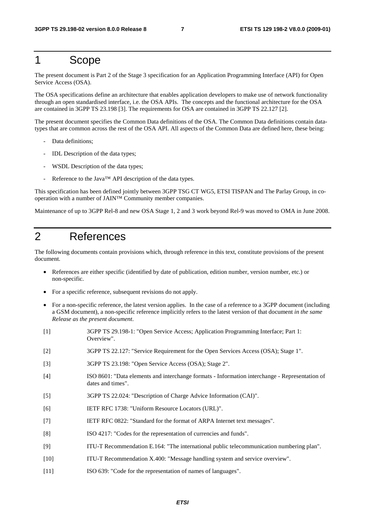### 1 Scope

The present document is Part 2 of the Stage 3 specification for an Application Programming Interface (API) for Open Service Access (OSA).

The OSA specifications define an architecture that enables application developers to make use of network functionality through an open standardised interface, i.e. the OSA APIs. The concepts and the functional architecture for the OSA are contained in 3GPP TS 23.198 [3]. The requirements for OSA are contained in 3GPP TS 22.127 [2].

The present document specifies the Common Data definitions of the OSA. The Common Data definitions contain datatypes that are common across the rest of the OSA API. All aspects of the Common Data are defined here, these being:

- Data definitions;
- IDL Description of the data types;
- WSDL Description of the data types;
- Reference to the Java™ API description of the data types.

This specification has been defined jointly between 3GPP TSG CT WG5, ETSI TISPAN and The Parlay Group, in cooperation with a number of JAIN™ Community member companies.

Maintenance of up to 3GPP Rel-8 and new OSA Stage 1, 2 and 3 work beyond Rel-9 was moved to OMA in June 2008.

### 2 References

The following documents contain provisions which, through reference in this text, constitute provisions of the present document.

- References are either specific (identified by date of publication, edition number, version number, etc.) or non-specific.
- For a specific reference, subsequent revisions do not apply.
- For a non-specific reference, the latest version applies. In the case of a reference to a 3GPP document (including a GSM document), a non-specific reference implicitly refers to the latest version of that document *in the same Release as the present document*.
- [1] 3GPP TS 29.198-1: "Open Service Access; Application Programming Interface; Part 1: Overview". [2] 3GPP TS 22.127: "Service Requirement for the Open Services Access (OSA); Stage 1". [3] 3GPP TS 23.198: "Open Service Access (OSA); Stage 2". [4] ISO 8601: "Data elements and interchange formats - Information interchange - Representation of dates and times". [5] 3GPP TS 22.024: "Description of Charge Advice Information (CAI)". [6] IETF RFC 1738: "Uniform Resource Locators (URL)". [7] IETF RFC 0822: "Standard for the format of ARPA Internet text messages". [8] ISO 4217: "Codes for the representation of currencies and funds". [9] ITU-T Recommendation E.164: "The international public telecommunication numbering plan". [10] ITU-T Recommendation X.400: "Message handling system and service overview". [11] ISO 639: "Code for the representation of names of languages".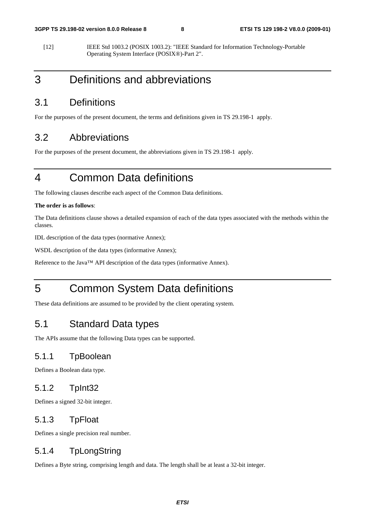<span id="page-8-0"></span>[12] IEEE Std 1003.2 (POSIX 1003.2): "IEEE Standard for Information Technology-Portable Operating System Interface (POSIX®)-Part 2".

# 3 Definitions and abbreviations

#### 3.1 Definitions

For the purposes of the present document, the terms and definitions given in TS 29.198-1 apply.

#### 3.2 Abbreviations

For the purposes of the present document, the abbreviations given in TS 29.198-1 apply.

# 4 Common Data definitions

The following clauses describe each aspect of the Common Data definitions.

#### **The order is as follows**:

The Data definitions clause shows a detailed expansion of each of the data types associated with the methods within the classes.

IDL description of the data types (normative Annex);

WSDL description of the data types (informative Annex);

Reference to the Java™ API description of the data types (informative Annex).

# 5 Common System Data definitions

These data definitions are assumed to be provided by the client operating system.

#### 5.1 Standard Data types

The APIs assume that the following Data types can be supported.

#### 5.1.1 TpBoolean

Defines a Boolean data type.

#### 5.1.2 TpInt32

Defines a signed 32-bit integer.

#### 5.1.3 TpFloat

Defines a single precision real number.

#### 5.1.4 TpLongString

Defines a Byte string, comprising length and data. The length shall be at least a 32-bit integer.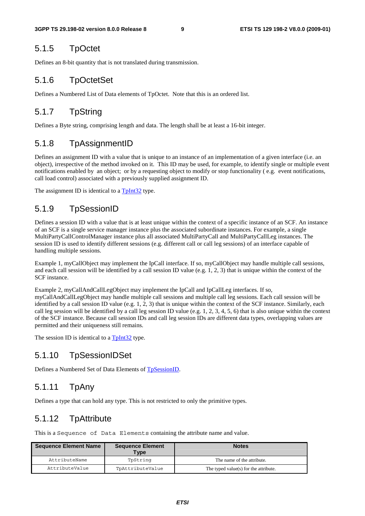#### <span id="page-9-0"></span>5.1.5 TpOctet

Defines an 8-bit quantity that is not translated during transmission.

#### 5.1.6 TpOctetSet

Defines a Numbered List of Data elements of TpOctet. Note that this is an ordered list.

#### 5.1.7 TpString

Defines a Byte string, comprising length and data. The length shall be at least a 16-bit integer.

#### 5.1.8 TpAssignmentID

Defines an assignment ID with a value that is unique to an instance of an implementation of a given interface (i.e. an object), irrespective of the method invoked on it. This ID may be used, for example, to identify single or multiple event notifications enabled by an object; or by a requesting object to modify or stop functionality ( e.g. event notifications, call load control) associated with a previously supplied assignment ID.

The assignment ID is identical to a  $T<sub>p</sub>Int32$  type.

#### 5.1.9 TpSessionID

Defines a session ID with a value that is at least unique within the context of a specific instance of an SCF. An instance of an SCF is a single service manager instance plus the associated subordinate instances. For example, a single MultiPartyCallControlManager instance plus all associated MultiPartyCall and MultiPartyCallLeg instances. The session ID is used to identify different sessions (e.g. different call or call leg sessions) of an interface capable of handling multiple sessions.

Example 1, myCallObject may implement the IpCall interface. If so, myCallObject may handle multiple call sessions, and each call session will be identified by a call session ID value (e.g. 1, 2, 3) that is unique within the context of the SCF instance.

Example 2, myCallAndCallLegObject may implement the IpCall and IpCallLeg interfaces. If so, myCallAndCallLegObject may handle multiple call sessions and multiple call leg sessions. Each call session will be identified by a call session ID value (e.g. 1, 2, 3) that is unique within the context of the SCF instance. Similarly, each call leg session will be identified by a call leg session ID value (e.g. 1, 2, 3, 4, 5, 6) that is also unique within the context of the SCF instance. Because call session IDs and call leg session IDs are different data types, overlapping values are permitted and their uniqueness still remains.

The session ID is identical to a **TpInt32** type.

#### 5.1.10 TpSessionIDSet

Defines a Numbered Set of Data Elements of TpSessionID.

#### 5.1.11 TpAny

Defines a type that can hold any type. This is not restricted to only the primitive types.

#### 5.1.12 TpAttribute

This is a Sequence of Data Elements containing the attribute name and value.

| <b>Sequence Element Name</b> | <b>Sequence Element</b><br>Type | <b>Notes</b>                          |
|------------------------------|---------------------------------|---------------------------------------|
| AttributeName                | TpString                        | The name of the attribute.            |
| AttributeValue               | TpAttributeValue                | The typed value(s) for the attribute. |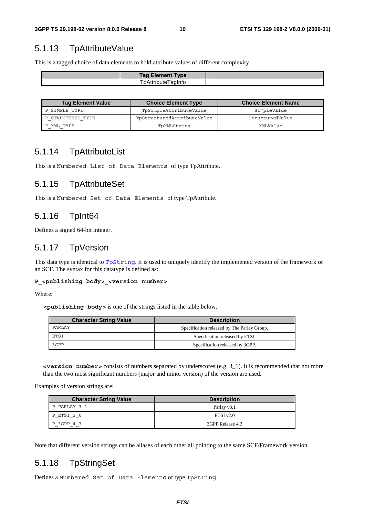### 5.1.13 TpAttributeValue

This is a tagged choice of data elements to hold attribute values of different complexity.

| <b>Tag Element Type</b> |  |
|-------------------------|--|
| pAttribute<br>aginto    |  |

| <b>Tag Element Value</b> | <b>Choice Element Type</b> | <b>Choice Element Name</b> |
|--------------------------|----------------------------|----------------------------|
| P SIMPLE TYPE            | TpSimpleAttributeValue     | SimpleValue                |
| STRUCTURED TYPE          | TpStructuredAttributeValue | StructuredValue            |
| XML TYPE                 | TpXMLString                | XMLValue                   |

#### 5.1.14 TpAttributeList

This is a Numbered List of Data Elements of type TpAttribute.

#### 5.1.15 TpAttributeSet

This is a Numbered Set of Data Elements of type TpAttribute.

#### 5.1.16 TpInt64

Defines a signed 64-bit integer.

#### 5.1.17 TpVersion

This data type is identical to TpString. It is used to uniquely identify the implemented version of the framework or an SCF. The syntax for this datatype is defined as:

#### **P\_<publishing body>\_<version number>**

Where:

**<publishing body>** is one of the strings listed in the table below.

| <b>Character String Value</b> | <b>Description</b>                          |
|-------------------------------|---------------------------------------------|
| PARLAY                        | Specification released by The Parlay Group. |
| ETSI                          | Specification released by ETSI.             |
| 3GPP                          | Specification released by 3GPP.             |

**<version number>** consists of numbers separated by underscores (e.g. 3\_1). It is recommended that not more than the two most significant numbers (major and minor version) of the version are used.

Examples of version strings are:

| <b>Character String Value</b> | <b>Description</b> |
|-------------------------------|--------------------|
| PARLAY 3 1<br>D.              | Parlay v3.1        |
| P ETSI 20                     | ETSIv2.0           |
| 3GPP 4 3                      | 3GPP Release 4.3   |

Note that different version strings can be aliases of each other all pointing to the same SCF/Framework version.

#### 5.1.18 TpStringSet

Defines a Numbered Set of Data Elements of type TpString.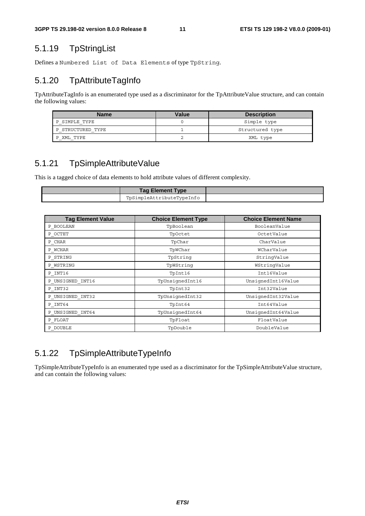### 5.1.19 TpStringList

Defines a Numbered List of Data Elements of type TpString.

### 5.1.20 TpAttributeTagInfo

TpAttributeTagInfo is an enumerated type used as a discriminator for the TpAttributeValue structure, and can contain the following values:

| <b>Name</b>       | Value | <b>Description</b> |
|-------------------|-------|--------------------|
| SIMPLE TYPE       |       | Simple type        |
| P STRUCTURED TYPE |       | Structured type    |
| XML TYPE          |       | XML type           |

### 5.1.21 TpSimpleAttributeValue

This is a tagged choice of data elements to hold attribute values of different complexity.

| <b>Tag Element Type</b>   |  |
|---------------------------|--|
| TpSimpleAttributeTypeInfo |  |

| <b>Tag Element Value</b> | <b>Choice Element Type</b> | <b>Choice Element Name</b> |
|--------------------------|----------------------------|----------------------------|
| P BOOLEAN                | TpBoolean                  | BooleanValue               |
| P OCTET                  | TpOctet                    | OctetValue                 |
| $P$ <sup>_</sup> CHAR    | TpChar                     | CharValue                  |
| P WCHAR                  | TpWChar                    | WCharValue                 |
| P STRING                 | TpString                   | StringValue                |
| P WSTRING                | TpWString                  | WStringValue               |
| P INT16                  | TpInt16                    | Int16Value                 |
| P UNSIGNED INT16         | TpUnsiqnedInt16            | UnsignedInt16Value         |
| P INT32                  | TpInt32                    | Int32Value                 |
| P UNSIGNED INT32         | TpUnsiqnedInt32            | UnsignedInt32Value         |
| P INT64                  | TpInt64                    | Int64Value                 |
| P UNSIGNED INT64         | TpUnsiqnedInt64            | UnsignedInt64Value         |
| P FLOAT                  | TpFloat                    | FloatValue                 |
| P DOUBLE                 | TpDouble                   | DoubleValue                |

### 5.1.22 TpSimpleAttributeTypeInfo

TpSimpleAttributeTypeInfo is an enumerated type used as a discriminator for the TpSimpleAttributeValue structure, and can contain the following values: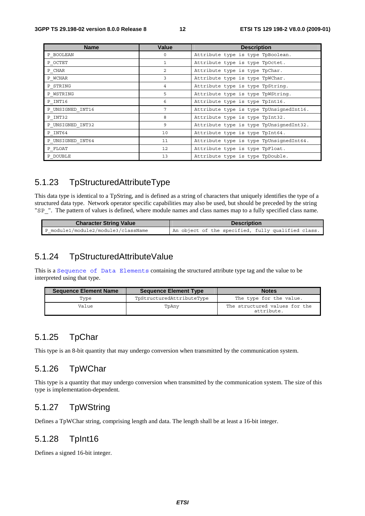| <b>Name</b>      | <b>Value</b>   | <b>Description</b>                      |
|------------------|----------------|-----------------------------------------|
| P BOOLEAN        | $\circ$        | Attribute type is type TpBoolean.       |
| P OCTET          | 1              | Attribute type is type TpOctet.         |
| P CHAR           | $\overline{c}$ | Attribute type is type TpChar.          |
| P WCHAR          | 3              | Attribute type is type TpWChar.         |
| P STRING         | 4              | Attribute type is type TpString.        |
| P WSTRING        | 5              | Attribute type is type TpWString.       |
| P INT16          | 6              | Attribute type is type TpInt16.         |
| P UNSIGNED INT16 | 7              | Attribute type is type TpUnsignedInt16. |
| P INT32          | 8              | Attribute type is type TpInt32.         |
| P UNSIGNED INT32 | 9              | Attribute type is type TpUnsignedInt32. |
| P INT64          | 10             | Attribute type is type TpInt64.         |
| P UNSIGNED INT64 | 11             | Attribute type is type TpUnsignedInt64. |
| P FLOAT          | 12             | Attribute type is type TpFloat.         |
| P DOUBLE         | 13             | Attribute type is type TpDouble.        |

#### 5.1.23 TpStructuredAttributeType

This data type is identical to a TpString, and is defined as a string of characters that uniquely identifies the type of a structured data type. Network operator specific capabilities may also be used, but should be preceded by the string "SP\_". The pattern of values is defined, where module names and class names map to a fully specified class name.

| <b>Character String Value</b>       | <b>Description</b>                                 |
|-------------------------------------|----------------------------------------------------|
| P module1/module2/module3/className | An object of the specified, fully qualified class. |

#### 5.1.24 TpStructuredAttributeValue

This is a Sequence of Data Elements containing the structured attribute type tag and the value to be interpreted using that type.

| <b>Sequence Element Name</b> | <b>Sequence Element Type</b> | <b>Notes</b>                                |
|------------------------------|------------------------------|---------------------------------------------|
| Type                         | TpStructuredAttributeType    | The type for the value.                     |
| Value                        | TpAny                        | The structured values for the<br>attribute. |

#### 5.1.25 TpChar

This type is an 8-bit quantity that may undergo conversion when transmitted by the communication system.

#### 5.1.26 TpWChar

This type is a quantity that may undergo conversion when transmitted by the communication system. The size of this type is implementation-dependent.

#### 5.1.27 TpWString

Defines a TpWChar string, comprising length and data. The length shall be at least a 16-bit integer.

#### 5.1.28 TpInt16

Defines a signed 16-bit integer.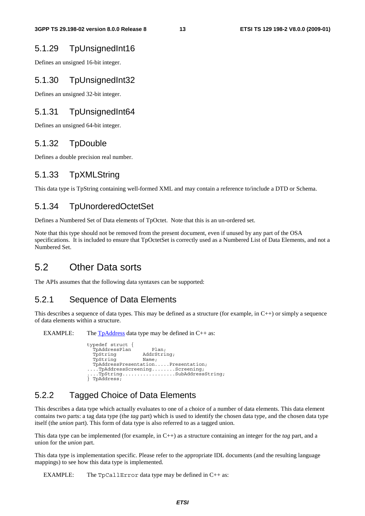#### 5.1.29 TpUnsignedInt16

Defines an unsigned 16-bit integer.

#### 5.1.30 TpUnsignedInt32

Defines an unsigned 32-bit integer.

#### 5.1.31 TpUnsignedInt64

Defines an unsigned 64-bit integer.

#### 5.1.32 TpDouble

Defines a double precision real number.

#### 5.1.33 TpXMLString

This data type is TpString containing well-formed XML and may contain a reference to/include a DTD or Schema.

#### 5.1.34 TpUnorderedOctetSet

Defines a Numbered Set of Data elements of TpOctet. Note that this is an un-ordered set.

Note that this type should not be removed from the present document, even if unused by any part of the OSA specifications. It is included to ensure that TpOctetSet is correctly used as a Numbered List of Data Elements, and not a Numbered Set.

### 5.2 Other Data sorts

The APIs assumes that the following data syntaxes can be supported:

#### 5.2.1 Sequence of Data Elements

This describes a sequence of data types. This may be defined as a structure (for example, in  $C_{++}$ ) or simply a sequence of data elements within a structure.

EXAMPLE: The  $TpAddress$  data type may be defined in  $C++$  as:

| typedef struct { |                                    |
|------------------|------------------------------------|
| TpAddressPlan    | Plan;                              |
| TpString         | AddrString;                        |
| TpString         | Name;                              |
|                  | TpAddressPresentationPresentation; |
|                  | TpAddressScreeningScreening;       |
|                  | TpStringSubAddressString;          |
| PpAddress;       |                                    |

#### 5.2.2 Tagged Choice of Data Elements

This describes a data type which actually evaluates to one of a choice of a number of data elements. This data element contains two parts: a tag data type (the *tag* part) which is used to identify the chosen data type, and the chosen data type itself (the *union* part). This form of data type is also referred to as a tagged union.

This data type can be implemented (for example, in C++) as a structure containing an integer for the *tag* part, and a union for the *union* part.

This data type is implementation specific. Please refer to the appropriate IDL documents (and the resulting language mappings) to see how this data type is implemented.

EXAMPLE: The TpCallError data type may be defined in C++ as: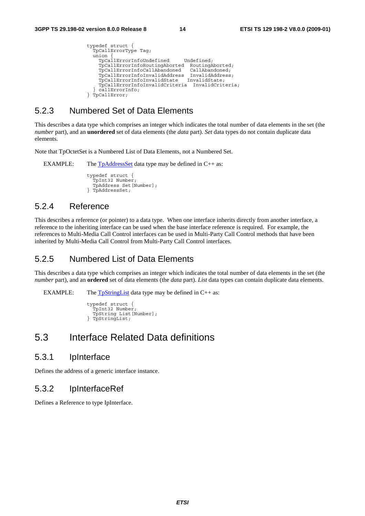```
typedef struct { 
   TpCallErrorType Tag; 
  union TpCallErrorInfoUndefined Undefined; 
     TpCallErrorInfoRoutingAborted RoutingAborted; 
     TpCallErrorInfoCallAbandoned CallAbandoned; 
     TpCallErrorInfoInvalidAddress InvalidAddress; 
    TpCallErrorInfoInvalidState
     TpCallErrorInfoInvalidCriteria InvalidCriteria; 
   callErrorInfo:
} TpCallError;
```
#### 5.2.3 Numbered Set of Data Elements

This describes a data type which comprises an integer which indicates the total number of data elements in the set (the *number* part), and an **unordered** set of data elements (the *data* part). *Set* data types do not contain duplicate data elements.

Note that TpOctetSet is a Numbered List of Data Elements, not a Numbered Set.

EXAMPLE: The  $TpAddressSet$  data type may be defined in  $C++$  as:

typedef struct { TpInt32 Number; TpAddress Set[Number]; } TpAddressSet;

#### 5.2.4 Reference

This describes a reference (or pointer) to a data type. When one interface inherits directly from another interface, a reference to the inheriting interface can be used when the base interface reference is required. For example, the references to Multi-Media Call Control interfaces can be used in Multi-Party Call Control methods that have been inherited by Multi-Media Call Control from Multi-Party Call Control interfaces.

#### 5.2.5 Numbered List of Data Elements

This describes a data type which comprises an integer which indicates the total number of data elements in the set (the *number* part), and an **ordered** set of data elements (the *data* part). *List* data types can contain duplicate data elements.

EXAMPLE: The  $T<sub>p</sub>StringList$  data type may be defined in C++ as:

```
typedef struct { 
  .<br>TpInt32 Number
   TpString List[Number]; 
} TpStringList;
```
### 5.3 Interface Related Data definitions

#### 5.3.1 IpInterface

Defines the address of a generic interface instance.

#### 5.3.2 IpInterfaceRef

Defines a Reference to type IpInterface.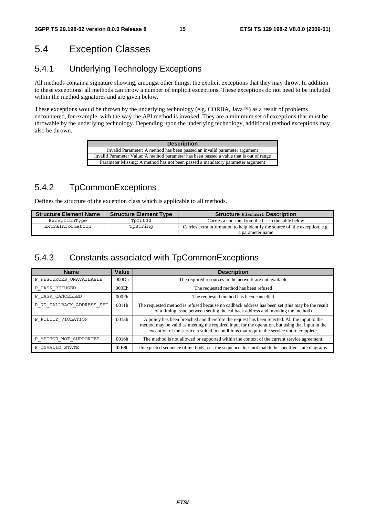## 5.4 Exception Classes

#### 5.4.1 Underlying Technology Exceptions

All methods contain a signature showing, amongst other things, the explicit exceptions that they may throw. In addition to these exceptions, all methods can throw a number of implicit exceptions. These exceptions do not need to be included within the method signatures and are given below.

These exceptions would be thrown by the underlying technology (e.g. CORBA, Java™) as a result of problems encountered, for example, with the way the API method is invoked. They are a minimum set of exceptions that must be throwable by the underlying technology. Depending upon the underlying technology, additional method exceptions may also be thrown.

| <b>Description</b>                                                                       |
|------------------------------------------------------------------------------------------|
| Invalid Parameter: A method has been passed an invalid parameter argument                |
| Invalid Parameter Value: A method parameter has been passed a value that is out of range |
| Parameter Missing: A method has not been passed a mandatory parameter argument           |

### 5.4.2 TpCommonExceptions

Defines the structure of the exception class which is applicable to all methods.

| <b>Structure Element Name</b> | <b>Structure Element Type</b> | <b>Structure Element Description</b>                                         |
|-------------------------------|-------------------------------|------------------------------------------------------------------------------|
| ExceptionType                 | TpInt32                       | Carries a constant from the list in the table below                          |
| ExtraInformation              | TpString                      | Carries extra information to help identify the source of the exception, e.g. |
|                               |                               | a parameter name                                                             |

### 5.4.3 Constants associated with TpCommonExceptions

| <b>Name</b>               | Value             | <b>Description</b>                                                                                                                                                                                                                                                                            |
|---------------------------|-------------------|-----------------------------------------------------------------------------------------------------------------------------------------------------------------------------------------------------------------------------------------------------------------------------------------------|
| P RESOURCES UNAVAILABLE   | 000Dh             | The required resources in the network are not available                                                                                                                                                                                                                                       |
| P TASK REFUSED            | 000E <sub>h</sub> | The requested method has been refused                                                                                                                                                                                                                                                         |
| P TASK CANCELLED          | 000Fh             | The requested method has been cancelled                                                                                                                                                                                                                                                       |
| P NO CALLBACK ADDRESS SET | 0011h             | The requested method is refused because no callback address has been set (this may be the result<br>of a timing issue between setting the callback address and invoking the method)                                                                                                           |
| P POLICY VIOLATION        | 0013h             | A policy has been breached and therefore the request has been rejected. All the input to the<br>method may be valid as meeting the required input for the operation, but using that input in the<br>execution of the service resulted in conditions that require the service not to complete. |
| P METHOD NOT SUPPORTED    | 0016h             | The method is not allowed or supported within the context of the current service agreement.                                                                                                                                                                                                   |
| P INVALID STATE           | 02E8h             | Unexpected sequence of methods, i.e., the sequence does not match the specified state diagrams.                                                                                                                                                                                               |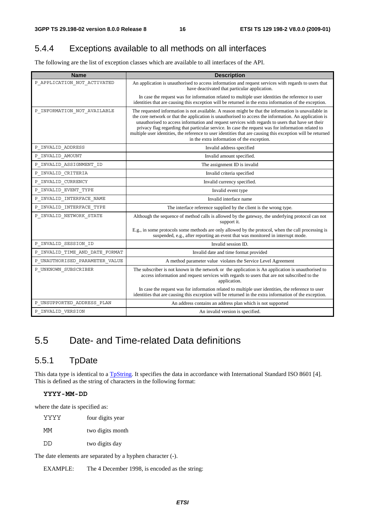### 5.4.4 Exceptions available to all methods on all interfaces

The following are the list of exception classes which are available to all interfaces of the API.

| <b>Name</b>                          | <b>Description</b>                                                                                                                                                                                                                                                                                                                                                                                                                                                                                                                                                                    |
|--------------------------------------|---------------------------------------------------------------------------------------------------------------------------------------------------------------------------------------------------------------------------------------------------------------------------------------------------------------------------------------------------------------------------------------------------------------------------------------------------------------------------------------------------------------------------------------------------------------------------------------|
| P APPLICATION NOT ACTIVATED          | An application is unauthorised to access information and request services with regards to users that<br>have deactivated that particular application.                                                                                                                                                                                                                                                                                                                                                                                                                                 |
|                                      | In case the request was for information related to multiple user identities the reference to user<br>identities that are causing this exception will be returned in the extra information of the exception.                                                                                                                                                                                                                                                                                                                                                                           |
| P INFORMATION NOT AVAILABLE          | The requested information is not available. A reason might be that the information is unavailable in<br>the core network or that the application is unauthorised to access the information. An application is<br>unauthorised to access information and request services with regards to users that have set their<br>privacy flag regarding that particular service. In case the request was for information related to<br>multiple user identities, the reference to user identities that are causing this exception will be returned<br>in the extra information of the exception. |
| P_INVALID_ADDRESS                    | Invalid address specified                                                                                                                                                                                                                                                                                                                                                                                                                                                                                                                                                             |
| P_INVALID_AMOUNT                     | Invalid amount specified.                                                                                                                                                                                                                                                                                                                                                                                                                                                                                                                                                             |
| P_INVALID_ASSIGNMENT_ID              | The assignment ID is invalid                                                                                                                                                                                                                                                                                                                                                                                                                                                                                                                                                          |
| P_INVALID_CRITERIA                   | Invalid criteria specified                                                                                                                                                                                                                                                                                                                                                                                                                                                                                                                                                            |
| P_INVALID_CURRENCY                   | Invalid currency specified.                                                                                                                                                                                                                                                                                                                                                                                                                                                                                                                                                           |
| $\verb P_invalID_EVENT_TYPE \\$      | Invalid event type                                                                                                                                                                                                                                                                                                                                                                                                                                                                                                                                                                    |
| P_INVALID_INTERFACE_NAME             | Invalid interface name                                                                                                                                                                                                                                                                                                                                                                                                                                                                                                                                                                |
| $\verb P_invalID_inference_TYPE  \\$ | The interface reference supplied by the client is the wrong type.                                                                                                                                                                                                                                                                                                                                                                                                                                                                                                                     |
| P_INVALID_NETWORK_STATE              | Although the sequence of method calls is allowed by the gateway, the underlying protocol can not<br>support it.                                                                                                                                                                                                                                                                                                                                                                                                                                                                       |
|                                      | E.g., in some protocols some methods are only allowed by the protocol, when the call processing is<br>suspended, e.g., after reporting an event that was monitored in interrupt mode.                                                                                                                                                                                                                                                                                                                                                                                                 |
| P_INVALID_SESSION_ID                 | Invalid session ID.                                                                                                                                                                                                                                                                                                                                                                                                                                                                                                                                                                   |
| P_INVALID_TIME_AND_DATE_FORMAT       | Invalid date and time format provided                                                                                                                                                                                                                                                                                                                                                                                                                                                                                                                                                 |
| P_UNAUTHORISED_PARAMETER_VALUE       | A method parameter value violates the Service Level Agreement                                                                                                                                                                                                                                                                                                                                                                                                                                                                                                                         |
| P_UNKNOWN_SUBSCRIBER                 | The subscriber is not known in the network or the application is An application is unauthorised to<br>access information and request services with regards to users that are not subscribed to the<br>application.                                                                                                                                                                                                                                                                                                                                                                    |
|                                      | In case the request was for information related to multiple user identities, the reference to user<br>identities that are causing this exception will be returned in the extra information of the exception.                                                                                                                                                                                                                                                                                                                                                                          |
| P_UNSUPPORTED_ADDRESS_PLAN           | An address contains an address plan which is not supported                                                                                                                                                                                                                                                                                                                                                                                                                                                                                                                            |
| P_INVALID_VERSION                    | An invalid version is specified.                                                                                                                                                                                                                                                                                                                                                                                                                                                                                                                                                      |

# 5.5 Date- and Time-related Data definitions

#### 5.5.1 TpDate

This data type is identical to a [TpString](#page-9-0). It specifies the data in accordance with International Standard ISO 8601 [4]. This is defined as the string of characters in the following format:

#### **YYYY-MM-DD**

where the date is specified as:

YYYY four digits year MM two digits month DD two digits day

The date elements are separated by a hyphen character (-).

EXAMPLE: The 4 December 1998, is encoded as the string: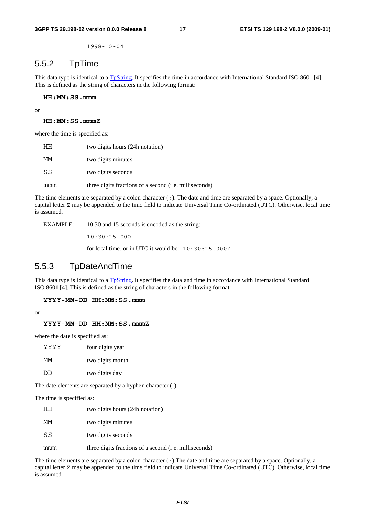1998-12-04

#### 5.5.2 TpTime

This data type is identical to a [TpString](#page-9-0). It specifies the time in accordance with International Standard ISO 8601 [4]. This is defined as the string of characters in the following format:

#### **HH:MM:SS.mmm**

or

#### **HH:MM:SS.mmmZ**

where the time is specified as:

| HН  | two digits hours (24h notation)                        |
|-----|--------------------------------------------------------|
| МM  | two digits minutes                                     |
| SS  | two digits seconds                                     |
| mmm | three digits fractions of a second (i.e. milliseconds) |

The time elements are separated by a colon character (:). The date and time are separated by a space. Optionally, a capital letter Z may be appended to the time field to indicate Universal Time Co-ordinated (UTC). Otherwise, local time is assumed.

EXAMPLE: 10:30 and 15 seconds is encoded as the string:

10:30:15.000

for local time, or in UTC it would be: 10:30:15.000Z

#### 5.5.3 TpDateAndTime

This data type is identical to a [TpString](#page-9-0). It specifies the data and time in accordance with International Standard ISO 8601 [4]. This is defined as the string of characters in the following format:

#### **YYYY-MM-DD HH:MM:SS.mmm**

or

#### **YYYY-MM-DD HH:MM:SS.mmmZ**

where the date is specified as:

| YYYY | four digits year |
|------|------------------|
| МM   | two digits month |
| חח   | two digits day   |

The date elements are separated by a hyphen character (-).

The time is specified as:

| HН  | two digits hours (24h notation)                                |
|-----|----------------------------------------------------------------|
| МM  | two digits minutes                                             |
| SS  | two digits seconds                                             |
| mmm | three digits fractions of a second ( <i>i.e.</i> milliseconds) |

The time elements are separated by a colon character (:).The date and time are separated by a space. Optionally, a capital letter Z may be appended to the time field to indicate Universal Time Co-ordinated (UTC). Otherwise, local time is assumed.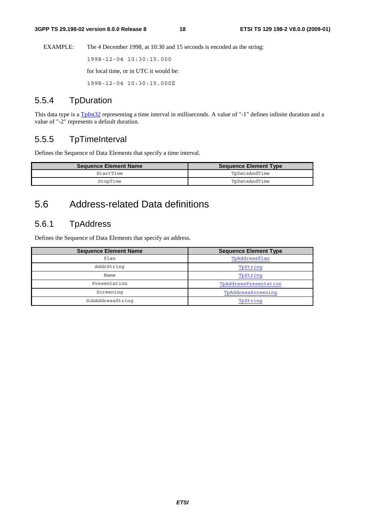<span id="page-18-0"></span>EXAMPLE: The 4 December 1998, at 10:30 and 15 seconds is encoded as the string:

1998-12-04 10:30:15.000

for local time, or in UTC it would be:

1998-12-04 10:30:15.000Z

#### 5.5.4 TpDuration

This data type is a  $T_{\text{pInt32}}$  representing a time interval in milliseconds. A value of "-1" defines infinite duration and a value of "-2" represents a default duration.

#### 5.5.5 TpTimeInterval

Defines the Sequence of Data Elements that specify a time interval.

| <b>Sequence Element Name</b> | <b>Sequence Element Type</b> |
|------------------------------|------------------------------|
| StartTime                    | ToDateAndTime                |
| StopTime                     | ToDateAndTime                |

## 5.6 Address-related Data definitions

#### 5.6.1 TpAddress

Defines the Sequence of Data Elements that specify an address.

| <b>Sequence Element Name</b> | <b>Sequence Element Type</b> |
|------------------------------|------------------------------|
| Plan                         | TpAddressPlan                |
| AddrString                   | TpString                     |
| Name                         | TpString                     |
| Presentation                 | TpAddressPresentation        |
| Screening                    | TpAddressScreening           |
| SubAddressString             | TpString                     |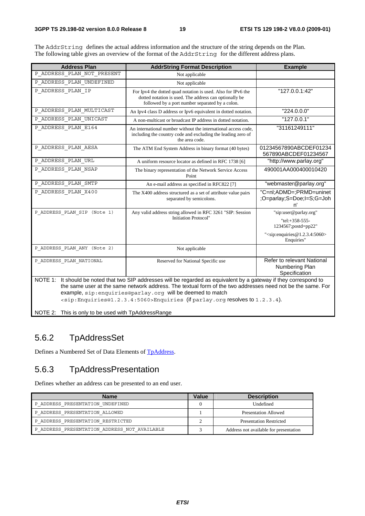<span id="page-19-0"></span>The AddrString defines the actual address information and the structure of the string depends on the Plan. The following table gives an overview of the format of the AddrString for the different address plans.

| <b>Address Plan</b>                                                                                                                                                                                                                                                                                                                                                                                                                                                | <b>AddrString Format Description</b>                                                                                                                                      | <b>Example</b>                                                                                                                 |
|--------------------------------------------------------------------------------------------------------------------------------------------------------------------------------------------------------------------------------------------------------------------------------------------------------------------------------------------------------------------------------------------------------------------------------------------------------------------|---------------------------------------------------------------------------------------------------------------------------------------------------------------------------|--------------------------------------------------------------------------------------------------------------------------------|
| P_ADDRESS_PLAN_NOT_PRESENT                                                                                                                                                                                                                                                                                                                                                                                                                                         | Not applicable                                                                                                                                                            |                                                                                                                                |
| P ADDRESS PLAN UNDEFINED                                                                                                                                                                                                                                                                                                                                                                                                                                           | Not applicable                                                                                                                                                            |                                                                                                                                |
| P_ADDRESS_PLAN_IP                                                                                                                                                                                                                                                                                                                                                                                                                                                  | For Ipv4 the dotted quad notation is used. Also for IPv6 the<br>dotted notation is used. The address can optionally be<br>followed by a port number separated by a colon. | "127.0.0.1:42"                                                                                                                 |
| P_ADDRESS_PLAN_MULTICAST                                                                                                                                                                                                                                                                                                                                                                                                                                           | An Ipv4 class D address or Ipv6 equivalent in dotted notation.                                                                                                            | "224.0.0.0"                                                                                                                    |
| P_ADDRESS_PLAN_UNICAST                                                                                                                                                                                                                                                                                                                                                                                                                                             | A non-multicast or broadcast IP address in dotted notation.                                                                                                               | "127.0.0.1"                                                                                                                    |
| P_ADDRESS_PLAN_E164                                                                                                                                                                                                                                                                                                                                                                                                                                                | An international number without the international access code,<br>including the country code and excluding the leading zero of<br>the area code.                          | "31161249111"                                                                                                                  |
| P_ADDRESS_PLAN_AESA                                                                                                                                                                                                                                                                                                                                                                                                                                                | The ATM End System Address in binary format (40 bytes)                                                                                                                    | 01234567890ABCDEF01234<br>567890ABCDEF01234567                                                                                 |
| P ADDRESS PLAN URL                                                                                                                                                                                                                                                                                                                                                                                                                                                 | A uniform resource locator as defined in RFC 1738 [6]                                                                                                                     | "http://www.parlay.org"                                                                                                        |
| P_ADDRESS_PLAN_NSAP                                                                                                                                                                                                                                                                                                                                                                                                                                                | The binary representation of the Network Service Access<br>Point                                                                                                          | 490001AA000400010420                                                                                                           |
| P ADDRESS PLAN SMTP                                                                                                                                                                                                                                                                                                                                                                                                                                                | An e-mail address as specified in RFC822 [7]                                                                                                                              | "webmaster@parlay.org"                                                                                                         |
| P ADDRESS PLAN X400                                                                                                                                                                                                                                                                                                                                                                                                                                                | The X400 address structured as a set of attribute value pairs<br>separated by semicolons.                                                                                 | "C=nl;ADMD=;PRMD=uninet<br>;O=parlay;S=Doe;I=S;G=Joh<br>n'                                                                     |
| P ADDRESS PLAN SIP (Note 1)                                                                                                                                                                                                                                                                                                                                                                                                                                        | Any valid address string allowed in RFC 3261 "SIP: Session<br>Initiation Protocol"                                                                                        | "sip:user@parlay.org"<br>"tel:+358-555-<br>1234567;postd=pp22"<br>" <sip: @1.2.3.4:5060="" enquiries=""><br/>Enquiries"</sip:> |
| P_ADDRESS_PLAN_ANY (Note 2)                                                                                                                                                                                                                                                                                                                                                                                                                                        | Not applicable                                                                                                                                                            |                                                                                                                                |
| P ADDRESS PLAN NATIONAL                                                                                                                                                                                                                                                                                                                                                                                                                                            | Reserved for National Specific use                                                                                                                                        | Refer to relevant National<br>Numbering Plan<br>Specification                                                                  |
| NOTE 1: It should be noted that two SIP addresses will be regarded as equivalent by a gateway if they correspond to<br>the same user at the same network address. The textual form of the two addresses need not be the same. For<br>example, sip: enquiries@parlay.org will be deemed to match<br><sip:enquiries@1.2.3.4:5060>Enquiries (if parlay.org resolves to 1.2.3.4).<br/>NOTE 2: This is only to be used with TpAddressRange</sip:enquiries@1.2.3.4:5060> |                                                                                                                                                                           |                                                                                                                                |

#### 5.6.2 TpAddressSet

Defines a Numbered Set of Data Elements of [TpAddress.](#page-18-0)

### 5.6.3 TpAddressPresentation

Defines whether an address can be presented to an end user.

| Name                                       | Value | <b>Description</b>                     |
|--------------------------------------------|-------|----------------------------------------|
| P ADDRESS PRESENTATION UNDEFINED           |       | Undefined                              |
| P ADDRESS PRESENTATION ALLOWED             |       | Presentation Allowed                   |
| P ADDRESS PRESENTATION RESTRICTED          |       | <b>Presentation Restricted</b>         |
| ADDRESS PRESENTATION ADDRESS NOT AVAILABLE |       | Address not available for presentation |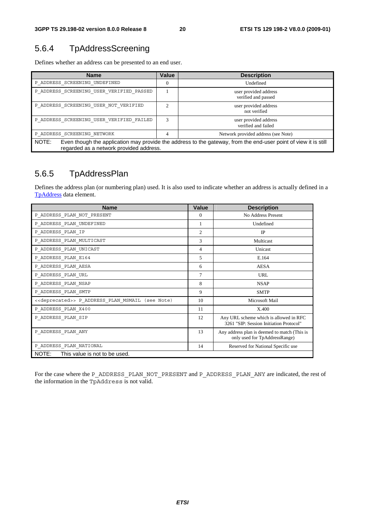# <span id="page-20-0"></span>5.6.4 TpAddressScreening

Defines whether an address can be presented to an end user.

| <b>Name</b>                                                                                                                                                         | Value          | <b>Description</b>                           |
|---------------------------------------------------------------------------------------------------------------------------------------------------------------------|----------------|----------------------------------------------|
| P ADDRESS SCREENING UNDEFINED                                                                                                                                       | $\overline{0}$ | Undefined                                    |
| P ADDRESS SCREENING USER VERIFIED PASSED                                                                                                                            |                | user provided address<br>verified and passed |
| P ADDRESS SCREENING USER NOT VERIFIED                                                                                                                               | ↑              | user provided address<br>not verified        |
| P ADDRESS SCREENING USER VERIFIED FAILED                                                                                                                            | 3              | user provided address<br>verified and failed |
| P ADDRESS SCREENING NETWORK                                                                                                                                         | 4              | Network provided address (see Note)          |
| NOTE:<br>Even though the application may provide the address to the gateway, from the end-user point of view it is still<br>regarded as a network provided address. |                |                                              |

### 5.6.5 TpAddressPlan

Defines the address plan (or numbering plan) used. It is also used to indicate whether an address is actually defined in a [TpAddress](#page-18-0) data element.

| <b>Name</b>                                                      | <b>Value</b>   | <b>Description</b>                                                                |
|------------------------------------------------------------------|----------------|-----------------------------------------------------------------------------------|
| P ADDRESS PLAN NOT PRESENT                                       | $\Omega$       | No Address Present                                                                |
| P ADDRESS PLAN UNDEFINED                                         | 1              | Undefined                                                                         |
| P ADDRESS PLAN IP                                                | $\overline{c}$ | IP                                                                                |
| P_ADDRESS_PLAN_MULTICAST                                         | 3              | Multicast                                                                         |
| P_ADDRESS_PLAN_UNICAST                                           | 4              | Unicast                                                                           |
| P ADDRESS PLAN E164                                              | 5              | E.164                                                                             |
| P ADDRESS PLAN AESA                                              | 6              | <b>AESA</b>                                                                       |
| P_ADDRESS_PLAN_URL                                               | 7              | <b>URL</b>                                                                        |
| P ADDRESS PLAN NSAP                                              | 8              | <b>NSAP</b>                                                                       |
| P ADDRESS PLAN SMTP                                              | 9              | <b>SMTP</b>                                                                       |
| < <deprecated>&gt; P ADDRESS PLAN MSMAIL (see Note)</deprecated> | 10             | Microsoft Mail                                                                    |
| P ADDRESS PLAN X400                                              | 11             | X.400                                                                             |
| P ADDRESS PLAN SIP                                               | 12             | Any URL scheme which is allowed in RFC<br>3261 "SIP: Session Initiation Protocol" |
| P ADDRESS PLAN ANY                                               | 13             | Any address plan is deemed to match (This is<br>only used for TpAddressRange)     |
| P ADDRESS PLAN NATIONAL                                          | 14             | Reserved for National Specific use                                                |
| NOTE: This value is not to be used.                              |                |                                                                                   |

For the case where the P\_ADDRESS\_PLAN\_NOT\_PRESENT and P\_ADDRESS\_PLAN\_ANY are indicated, the rest of the information in the TpAddress is not valid.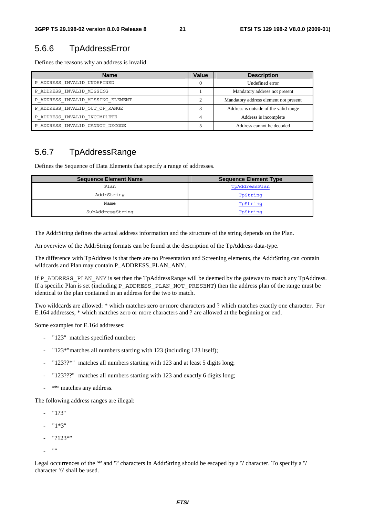#### 5.6.6 TpAddressError

Defines the reasons why an address is invalid.

| <b>Name</b>                       | Value | <b>Description</b>                    |
|-----------------------------------|-------|---------------------------------------|
| P ADDRESS INVALID UNDEFINED       |       | Undefined error                       |
| P ADDRESS INVALID MISSING         |       | Mandatory address not present         |
| P ADDRESS INVALID MISSING ELEMENT |       | Mandatory address element not present |
| P ADDRESS INVALID OUT OF RANGE    |       | Address is outside of the valid range |
| P ADDRESS INVALID INCOMPLETE      | 4     | Address is incomplete                 |
| P ADDRESS INVALID CANNOT DECODE   |       | Address cannot be decoded             |

#### 5.6.7 TpAddressRange

Defines the Sequence of Data Elements that specify a range of addresses.

| <b>Sequence Element Name</b> | <b>Sequence Element Type</b> |
|------------------------------|------------------------------|
| Plan                         | TpAddressPlan                |
| AddrString                   | TpString                     |
| Name                         | TpString                     |
| SubAddressString             | TpString                     |

The AddrString defines the actual address information and the structure of the string depends on the Plan.

An overview of the AddrString formats can be found at the description of the TpAddress data-type.

The difference with TpAddress is that there are no Presentation and Screening elements, the AddrString can contain wildcards and Plan may contain P\_ADDRESS\_PLAN\_ANY.

If P\_ADDRESS\_PLAN\_ANY is set then the TpAddressRange will be deemed by the gateway to match any TpAddress. If a specific Plan is set (including P\_ADDRESS\_PLAN\_NOT\_PRESENT) then the address plan of the range must be identical to the plan contained in an address for the two to match.

Two wildcards are allowed: \* which matches zero or more characters and ? which matches exactly one character. For E.164 addresses, \* which matches zero or more characters and ? are allowed at the beginning or end.

Some examples for E.164 addresses:

- "123" matches specified number;
- "123\*" matches all numbers starting with 123 (including 123 itself);
- "123??\*" matches all numbers starting with 123 and at least 5 digits long;
- "123???" matches all numbers starting with 123 and exactly 6 digits long;
- "\*" matches any address.

The following address ranges are illegal:

- "1?3"
- "1\*3"
- "?123\*"
- ""

Legal occurrences of the '\*' and '?' characters in AddrString should be escaped by a '\' character. To specify a '\' character '\\' shall be used.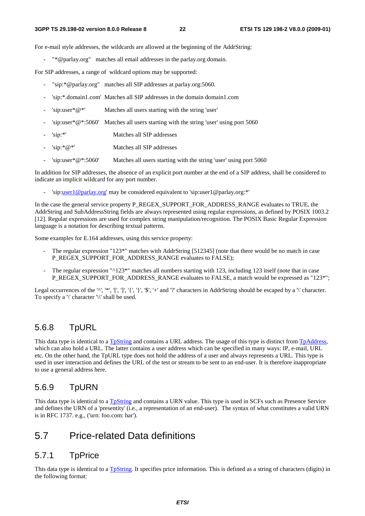For e-mail style addresses, the wildcards are allowed at the beginning of the AddrString:

"\*@parlay.org" matches all email addresses in the parlay.org domain.

For SIP addresses, a range of wildcard options may be supported:

- "sip:\*@parlay.org" matches all SIP addresses at parlay.org:5060.
- 'sip:\*.domain1.com' Matches all SIP addresses in the domain domain1.com
- 'sip:user $*@*'$  Matches all users starting with the string 'user'
- 'sip:user\*@\*:5060' Matches all users starting with the string 'user' using port 5060
- 'sip:\*' Matches all SIP addresses
- 'sip:\*@\*' Matches all SIP addresses
- 'sip:user\*@\*:5060' Matches all users starting with the string 'user' using port 5060

In addition for SIP addresses, the absence of an explicit port number at the end of a SIP address, shall be considered to indicate an implicit wildcard for any port number.

- 'sip[:user1@parlay.org](mailto:user1@parlay.org)' may be considered equivalent to 'sip:user1@parlay.org:\*'

In the case the general service property P\_REGEX\_SUPPORT\_FOR\_ADDRESS\_RANGE evaluates to TRUE, the AddrString and SubAddressString fields are always represented using regular expressions, as defined by POSIX 1003.2 [12]. Regular expressions are used for complex string manipulation/recognition. The POSIX Basic Regular Expression language is a notation for describing textual patterns.

Some examples for E.164 addresses, using this service property:

- The regular expression "123\*" matches with AddrString [512345] (note that there would be no match in case P\_REGEX\_SUPPORT\_FOR\_ADDRESS\_RANGE evaluates to FALSE);
- The regular expression "^123\*" matches all numbers starting with 123, including 123 itself (note that in case P\_REGEX\_SUPPORT\_FOR\_ADDRESS\_RANGE evaluates to FALSE, a match would be expressed as "123\*";

Legal occurrences of the '^', '\*', '[', ']', '{', '}', '\$', '+' and '?' characters in AddrString should be escaped by a '\' character. To specify a '\' character '\\' shall be used.

#### 5.6.8 TpURL

This data type is identical to a [TpString](#page-9-0) and contains a URL address. The usage of this type is distinct from [TpAddress,](#page-18-0) which can also hold a URL. The latter contains a user address which can be specified in many ways: IP, e-mail, URL etc. On the other hand, the TpURL type does not hold the address of a user and always represents a URL. This type is used in user interaction and defines the URL of the test or stream to be sent to an end-user. It is therefore inappropriate to use a general address here.

#### 5.6.9 TpURN

This data type is identical to a [TpString](#page-9-0) and contains a URN value. This type is used in SCFs such as Presence Service and defines the URN of a 'presentity' (i.e., a representation of an end-user). The syntax of what constitutes a valid URN is in RFC 1737. e.g., ('urn: foo.com: bar').

#### 5.7 Price-related Data definitions

#### 5.7.1 TpPrice

This data type is identical to a [TpString](#page-9-0). It specifies price information. This is defined as a string of characters (digits) in the following format: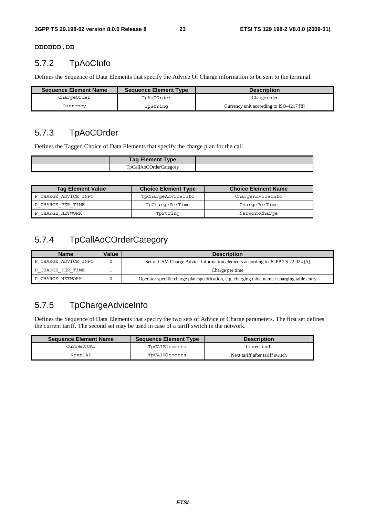**DDDDDD.DD**

#### 5.7.2 TpAoCInfo

Defines the Sequence of Data Elements that specify the Advice Of Charge information to be sent to the terminal.

| <b>Sequence Element Name</b> | <b>Sequence Element Type</b> | <b>Description</b>                      |
|------------------------------|------------------------------|-----------------------------------------|
| ChargeOrder                  | TpAoCOrder                   | Charge order                            |
| Currencv                     | TpString                     | Currency unit according to ISO-4217 [8] |

### 5.7.3 TpAoCOrder

Defines the Tagged Choice of Data Elements that specify the charge plan for the call.

| <b>Tag Element Type</b> |  |
|-------------------------|--|
| TpCallAoCOrderCategory  |  |

| <b>Tag Element Value</b> | <b>Choice Element Type</b> | <b>Choice Element Name</b> |
|--------------------------|----------------------------|----------------------------|
| P CHARGE ADVICE INFO     | TpChargeAdviceInfo         | ChargeAdviceInfo           |
| P CHARGE PER TIME        | TpChargePerTime            | ChargePerTime              |
| P CHARGE NETWORK         | TpString                   | NetworkCharge              |

### 5.7.4 TpCallAoCOrderCategory

| <b>Name</b>          | Value | <b>Description</b>                                                                           |
|----------------------|-------|----------------------------------------------------------------------------------------------|
| P CHARGE ADVICE INFO |       | Set of GSM Charge Advice Information elements according to 3GPP TS 22.024 [5]                |
| P CHARGE PER TIME    |       | Charge per time                                                                              |
| P CHARGE NETWORK     |       | Operator specific charge plan specification, e.g. charging table name / charging table entry |

### 5.7.5 TpChargeAdviceInfo

Defines the Sequence of Data Elements that specify the two sets of Advice of Charge parameters. The first set defines the current tariff. The second set may be used in case of a tariff switch in the network.

| <b>Sequence Element Name</b> | <b>Sequence Element Type</b> | <b>Description</b>              |
|------------------------------|------------------------------|---------------------------------|
| CurrentCAI                   | TpCAIElements                | Current tariff                  |
| NextCAI                      | TpCAIElements                | Next tariff after tariff switch |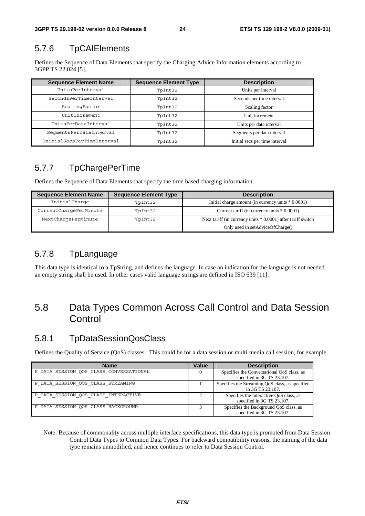### 5.7.6 TpCAIElements

Defines the Sequence of Data Elements that specify the Charging Advice Information elements according to 3GPP TS 22.024 [5].

| <b>Sequence Element Name</b> | <b>Sequence Element Type</b> | <b>Description</b>             |
|------------------------------|------------------------------|--------------------------------|
| UnitsPerInterval             | TpInt32                      | Units per interval             |
| SecondsPerTimeInterval       | TpInt32                      | Seconds per time interval      |
| ScalingFactor                | TpInt32                      | Scaling factor                 |
| UnitIncrement                | TpInt32                      | Unit increment                 |
| UnitsPerDataInterval         | TpInt32                      | Units per data interval        |
| SeqmentsPerDataInterval      | TpInt32                      | Segments per data interval     |
| InitialSecsPerTimeInterval   | TpInt32                      | Initial secs per time interval |

### 5.7.7 TpChargePerTime

Defines the Sequence of Data Elements that specify the time based charging information.

| <b>Sequence Element Name</b> | <b>Sequence Element Type</b> | <b>Description</b>                                           |  |
|------------------------------|------------------------------|--------------------------------------------------------------|--|
| InitialCharge                | TpInt32                      | Initial charge amount (in currency units $*0.0001$ )         |  |
| CurrentChargePerMinute       | TpInt32                      | Current tariff (in currency units $* 0.0001$ )               |  |
| NextChargePerMinute          | TpInt32                      | Next tariff (in currency units * 0.0001) after tariff switch |  |
|                              |                              | Only used in setAdviceOfCharge()                             |  |

### 5.7.8 TpLanguage

This data type is identical to a TpString, and defines the language. In case an indication for the language is not needed an empty string shall be used. In other cases valid language strings are defined in ISO 639 [11].

## 5.8 Data Types Common Across Call Control and Data Session **Control**

#### 5.8.1 TpDataSessionQosClass

Defines the Quality of Service (QoS) classes. This could be for a data session or multi media call session, for example.

| <b>Name</b>                             | Value | <b>Description</b>                                                       |
|-----------------------------------------|-------|--------------------------------------------------------------------------|
| P DATA SESSION QOS CLASS CONVERSATIONAL |       | Specifies the Conversational QoS class, as<br>specified in 3G TS 23.107. |
| P DATA SESSION QOS CLASS STREAMING      |       | Specifies the Streaming QoS class, as specified<br>in 3G TS 23.107.      |
| P DATA SESSION QOS CLASS INTERACTIVE    |       | Specifies the Interactive QoS class, as<br>specified in 3G TS 23.107.    |
| P DATA SESSION QOS CLASS BACKGROUND     |       | Specifies the Background QoS class, as<br>specified in 3G TS 23.107.     |

Note: Because of commonality across multiple interface specifications, this data type is promoted from Data Session Control Data Types to Common Data Types. For backward compatibility reasons, the naming of the data type remains unmodified, and hence continues to refer to Data Session Control.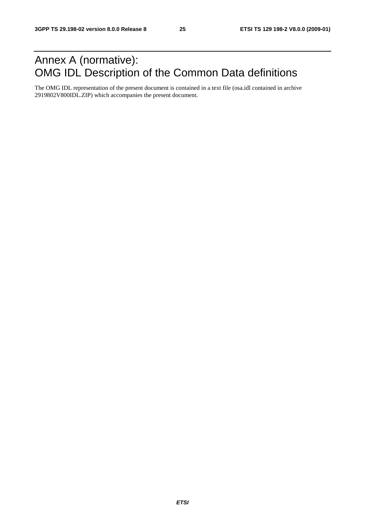# Annex A (normative): OMG IDL Description of the Common Data definitions

The OMG IDL representation of the present document is contained in a text file (osa.idl contained in archive 2919802V800IDL.ZIP) which accompanies the present document.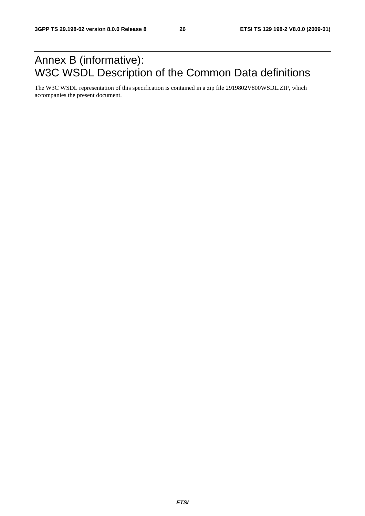# Annex B (informative): W3C WSDL Description of the Common Data definitions

The W3C WSDL representation of this specification is contained in a zip file 2919802V800WSDL.ZIP, which accompanies the present document.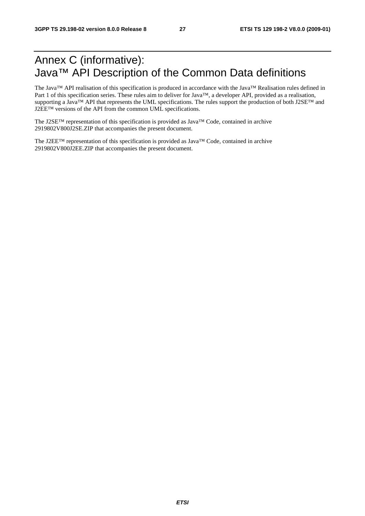# Annex C (informative): Java™ API Description of the Common Data definitions

The Java™ API realisation of this specification is produced in accordance with the Java™ Realisation rules defined in Part 1 of this specification series. These rules aim to deliver for Java™, a developer API, provided as a realisation, supporting a Java™ API that represents the UML specifications. The rules support the production of both J2SE™ and J2EE™ versions of the API from the common UML specifications.

The J2SE™ representation of this specification is provided as Java™ Code, contained in archive 2919802V800J2SE.ZIP that accompanies the present document.

The J2EE™ representation of this specification is provided as Java™ Code, contained in archive 2919802V800J2EE.ZIP that accompanies the present document.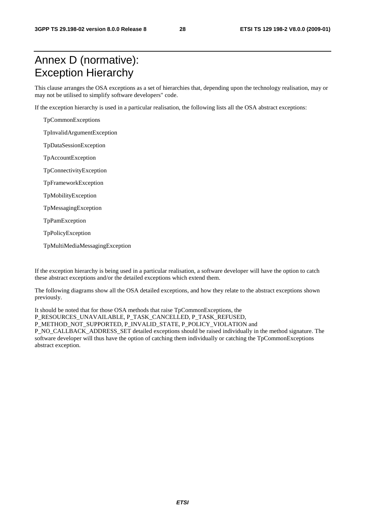# Annex D (normative): Exception Hierarchy

This clause arranges the OSA exceptions as a set of hierarchies that, depending upon the technology realisation, may or may not be utilised to simplify software developers" code.

If the exception hierarchy is used in a particular realisation, the following lists all the OSA abstract exceptions:

TpCommonExceptions

TpInvalidArgumentException

TpDataSessionException

TpAccountException

TpConnectivityException

TpFrameworkException

TpMobilityException

TpMessagingException

TpPamException

TpPolicyException

TpMultiMediaMessagingException

If the exception hierarchy is being used in a particular realisation, a software developer will have the option to catch these abstract exceptions and/or the detailed exceptions which extend them.

The following diagrams show all the OSA detailed exceptions, and how they relate to the abstract exceptions shown previously.

It should be noted that for those OSA methods that raise TpCommonExceptions, the P\_RESOURCES\_UNAVAILABLE, P\_TASK\_CANCELLED, P\_TASK\_REFUSED, P\_METHOD\_NOT\_SUPPORTED, P\_INVALID\_STATE, P\_POLICY\_VIOLATION and P\_NO\_CALLBACK\_ADDRESS\_SET detailed exceptions should be raised individually in the method signature. The software developer will thus have the option of catching them individually or catching the TpCommonExceptions abstract exception.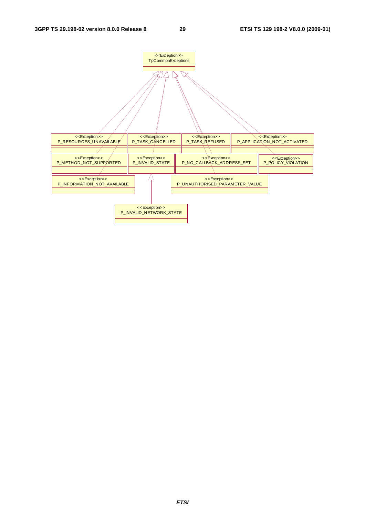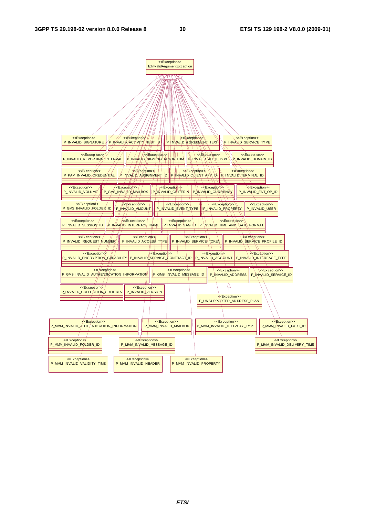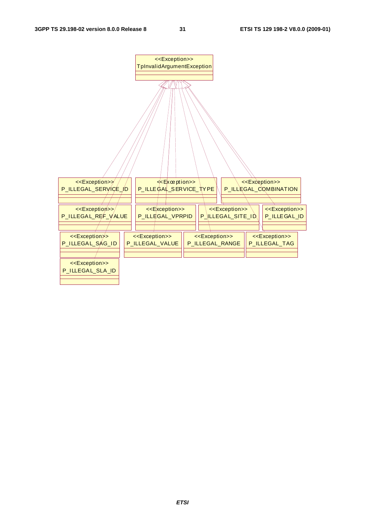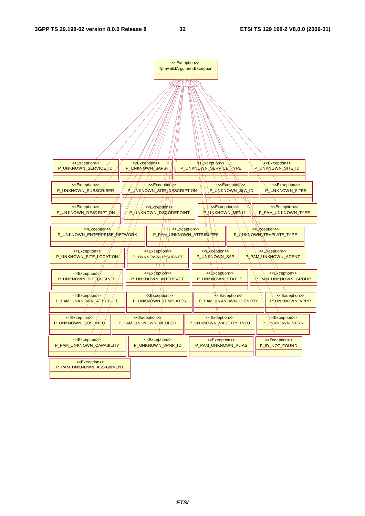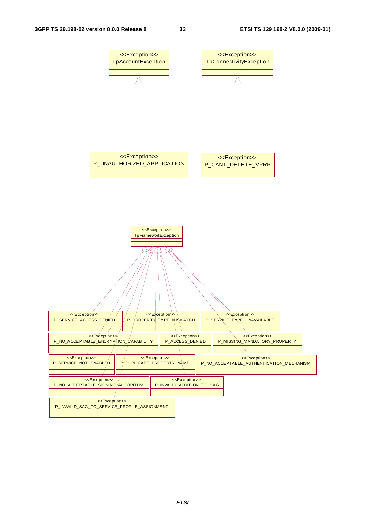

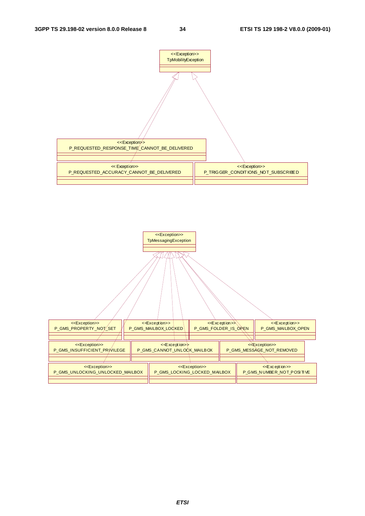

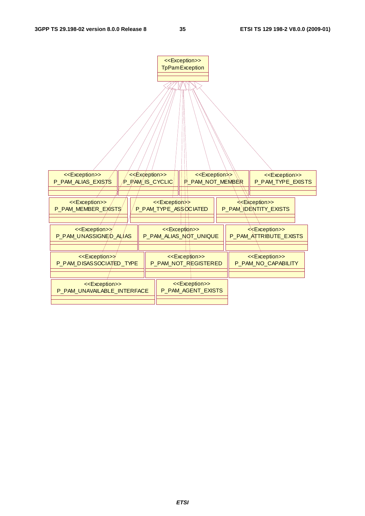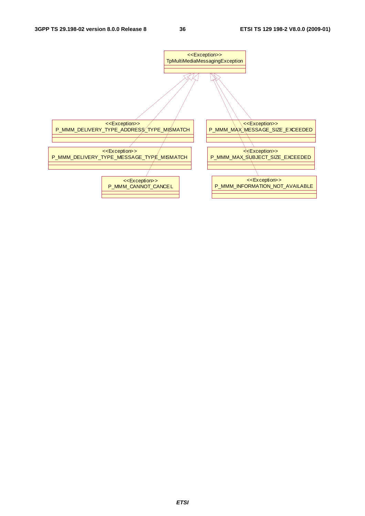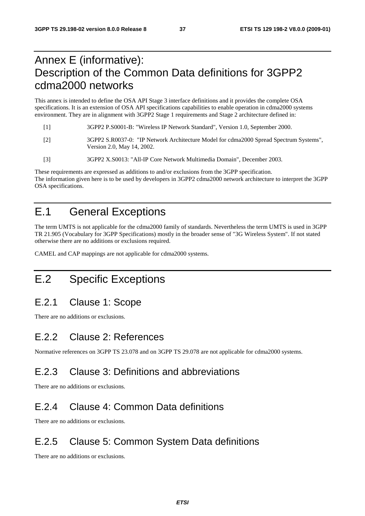# Annex E (informative): Description of the Common Data definitions for 3GPP2 cdma2000 networks

This annex is intended to define the OSA API Stage 3 interface definitions and it provides the complete OSA specifications. It is an extension of OSA API specifications capabilities to enable operation in cdma2000 systems environment. They are in alignment with 3GPP2 Stage 1 requirements and Stage 2 architecture defined in:

- [1] 3GPP2 P.S0001-B: "Wireless IP Network Standard", Version 1.0, September 2000.
- [2] 3GPP2 S.R0037-0: "IP Network Architecture Model for cdma2000 Spread Spectrum Systems", Version 2.0, May 14, 2002.
- [3] 3GPP2 X.S0013: "All-IP Core Network Multimedia Domain", December 2003.

These requirements are expressed as additions to and/or exclusions from the 3GPP specification. The information given here is to be used by developers in 3GPP2 cdma2000 network architecture to interpret the 3GPP OSA specifications.

# E.1 General Exceptions

The term UMTS is not applicable for the cdma2000 family of standards. Nevertheless the term UMTS is used in 3GPP TR 21.905 (Vocabulary for 3GPP Specifications) mostly in the broader sense of "3G Wireless System". If not stated otherwise there are no additions or exclusions required.

CAMEL and CAP mappings are not applicable for cdma2000 systems.

# E.2 Specific Exceptions

# E.2.1 Clause 1: Scope

There are no additions or exclusions.

### E.2.2 Clause 2: References

Normative references on 3GPP TS 23.078 and on 3GPP TS 29.078 are not applicable for cdma2000 systems.

### E.2.3 Clause 3: Definitions and abbreviations

There are no additions or exclusions.

### E.2.4 Clause 4: Common Data definitions

There are no additions or exclusions.

### E.2.5 Clause 5: Common System Data definitions

There are no additions or exclusions.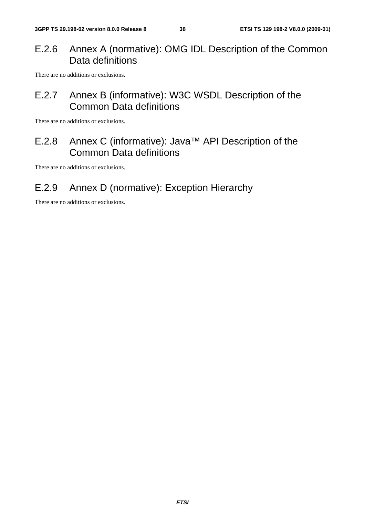### E.2.6 Annex A (normative): OMG IDL Description of the Common Data definitions

There are no additions or exclusions.

# E.2.7 Annex B (informative): W3C WSDL Description of the Common Data definitions

There are no additions or exclusions.

# E.2.8 Annex C (informative): Java™ API Description of the Common Data definitions

There are no additions or exclusions.

# E.2.9 Annex D (normative): Exception Hierarchy

There are no additions or exclusions.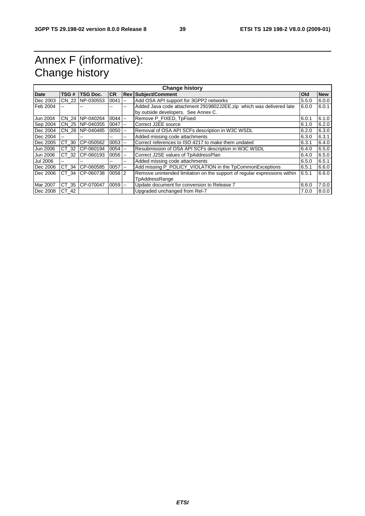# Annex F (informative): Change history

| <b>Change history</b> |         |                  |           |                          |                                                                                                            |       |            |
|-----------------------|---------|------------------|-----------|--------------------------|------------------------------------------------------------------------------------------------------------|-------|------------|
| <b>Date</b>           | TSG#    | <b>TSG Doc.</b>  | <b>CR</b> |                          | <b>Rev Subject/Comment</b>                                                                                 | Old   | <b>New</b> |
| Dec 2003              | CN 22   | NP-030553        | 0041      | $\sim$ $\sim$            | Add OSA API support for 3GPP2 networks                                                                     | 5.5.0 | 6.0.0      |
| Feb 2004              |         |                  | --        | --                       | Added Java code attachment 2919802J2EE.zip which was delivered late<br>by outside developers. See Annex C. | 6.0.0 | 6.0.1      |
| Jun 2004              |         | CN 24 INP-040264 | 0044      | $-$                      | Remove P FIXED, TpFixed                                                                                    | 6.0.1 | 6.1.0      |
| Sep 2004              |         | CN 25 NP-040355  | 0047      | $\sim$                   | Correct J2EE source                                                                                        | 6.1.0 | 6.2.0      |
| Dec 2004              |         | CN 26 NP-040485  | 0050      | $\overline{\phantom{a}}$ | Removal of OSA API SCFs description in W3C WSDL                                                            | 6.2.0 | 6.3.0      |
| Dec 2004              | --      |                  | --        | $\overline{\phantom{a}}$ | Added missing code attachments                                                                             | 6.3.0 | 6.3.1      |
| Dec 2005              | CT 30   | CP-050562        | 0053      | $\mathbf{u}$             | Correct references to ISO 4217 to make them undated                                                        | 6.3.1 | 6.4.0      |
| Jun 2006              | CT 32   | CP-060194        | $0054$ -- |                          | Resubmission of OSA API SCFs description in W3C WSDL                                                       | 6.4.0 | 6.5.0      |
| Jun 2006              | CT 32   | CP-060193        | $0056$ -- |                          | Correct J2SE values of TpAddressPlan                                                                       | 6.4.0 | 6.5.0      |
| Jul 2006              | --      |                  | --        | --                       | Added missing code attachments                                                                             | 6.5.0 | 6.5.1      |
| Dec 2006              | CT 34   | CP-060585        | 0057      | $\sim$ $\sim$            | Add missing P POLICY VIOLATION in the TpCommonExceptions                                                   | 6.5.1 | 6.6.0      |
| Dec 2006              | CT 34   | CP-060738        | $0058$ 2  |                          | Remove unintended limitation on the support of regular expressions within                                  | 6.5.1 | 6.6.0      |
|                       |         |                  |           |                          | TpAddressRange                                                                                             |       |            |
| Mar 2007              | CT 35   | CP-070047        | 0059      | $\sim$ $\sim$            | Update document for conversion to Release 7                                                                | 6.6.0 | 7.0.0      |
| Dec 2008              | $CT_42$ |                  |           |                          | Upgraded unchanged from Rel-7                                                                              | 7.0.0 | 8.0.0      |